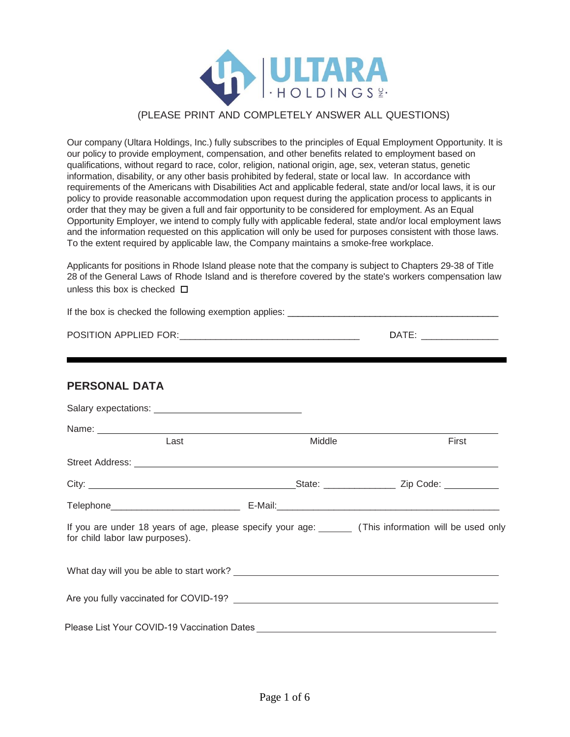

#### (PLEASE PRINT AND COMPLETELY ANSWER ALL QUESTIONS)

Our company (Ultara Holdings, Inc.) fully subscribes to the principles of Equal Employment Opportunity. It is our policy to provide employment, compensation, and other benefits related to employment based on qualifications, without regard to race, color, religion, national origin, age, sex, veteran status, genetic information, disability, or any other basis prohibited by federal, state or local law. In accordance with requirements of the Americans with Disabilities Act and applicable federal, state and/or local laws, it is our policy to provide reasonable accommodation upon request during the application process to applicants in order that they may be given a full and fair opportunity to be considered for employment. As an Equal Opportunity Employer, we intend to comply fully with applicable federal, state and/or local employment laws and the information requested on this application will only be used for purposes consistent with those laws. To the extent required by applicable law, the Company maintains a smoke-free workplace.

Applicants for positions in Rhode Island please note that the company is subject to Chapters 29-38 of Title 28 of the General Laws of Rhode Island and is therefore covered by the state's workers compensation law unless this box is checked **□** 

|                                                                                                                                                                                                                               |        | DATE: __________________ |  |
|-------------------------------------------------------------------------------------------------------------------------------------------------------------------------------------------------------------------------------|--------|--------------------------|--|
|                                                                                                                                                                                                                               |        |                          |  |
| <b>PERSONAL DATA</b>                                                                                                                                                                                                          |        |                          |  |
|                                                                                                                                                                                                                               |        |                          |  |
| Name: Name: Name: Name: Name: Name: Name: Name: Name: Name: Name: Name: Name: Name: Name: Name: Name: Name: Name: Name: Name: Name: Name: Name: Name: Name: Name: Name: Name: Name: Name: Name: Name: Name: Name: Name: Name: |        |                          |  |
| Last                                                                                                                                                                                                                          | Middle | First                    |  |
|                                                                                                                                                                                                                               |        |                          |  |
|                                                                                                                                                                                                                               |        |                          |  |

| If you are under 18 years of age, please specify your age: | (This information will be used only |
|------------------------------------------------------------|-------------------------------------|
| for child labor law purposes).                             |                                     |

Telephone **E-Mail:** E-Mail:

What day will you be able to start work? Are you fully vaccinated for COVID-19?

Please List Your COVID-19 Vaccination Dates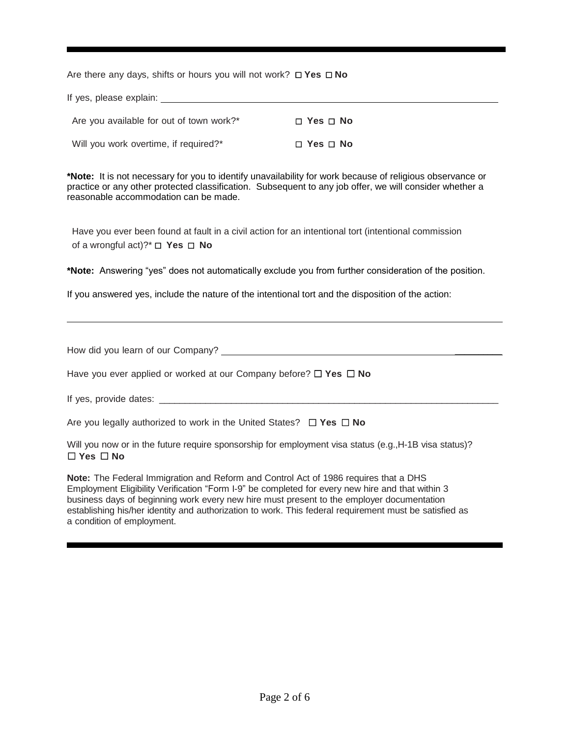Are there any days, shifts or hours you will not work? ☐ **Yes** ☐ **No** 

| If yes, please explain:                  |                      |
|------------------------------------------|----------------------|
| Are you available for out of town work?* | $\Box$ Yes $\Box$ No |
| Will you work overtime, if required?*    | $\Box$ Yes $\Box$ No |

**\*Note:** It is not necessary for you to identify unavailability for work because of religious observance or practice or any other protected classification. Subsequent to any job offer, we will consider whether a reasonable accommodation can be made.

Have you ever been found at fault in a civil action for an intentional tort (intentional commission of a wrongful act)?\* ☐ **Yes** ☐ **No**

**\*Note:** Answering "yes" does not automatically exclude you from further consideration of the position.

If you answered yes, include the nature of the intentional tort and the disposition of the action:

| How did you learn of our Company? |  |
|-----------------------------------|--|
|                                   |  |

Have you ever applied or worked at our Company before? ☐ **Yes** ☐ **No**

If yes, provide dates: \_\_\_\_\_\_\_\_\_\_\_\_\_\_\_\_\_\_\_\_\_\_\_\_\_\_\_\_\_\_\_\_\_\_\_\_\_\_\_\_\_\_\_\_\_\_\_\_\_\_\_\_\_\_\_\_\_\_\_\_\_\_\_\_\_\_

Are you legally authorized to work in the United States? ☐ **Yes** ☐ **No**

Will you now or in the future require sponsorship for employment visa status (e.g., H-1B visa status)? ☐ **Yes** ☐ **No**

**Note:** The Federal Immigration and Reform and Control Act of 1986 requires that a DHS Employment Eligibility Verification "Form I-9" be completed for every new hire and that within 3 business days of beginning work every new hire must present to the employer documentation establishing his/her identity and authorization to work. This federal requirement must be satisfied as a condition of employment.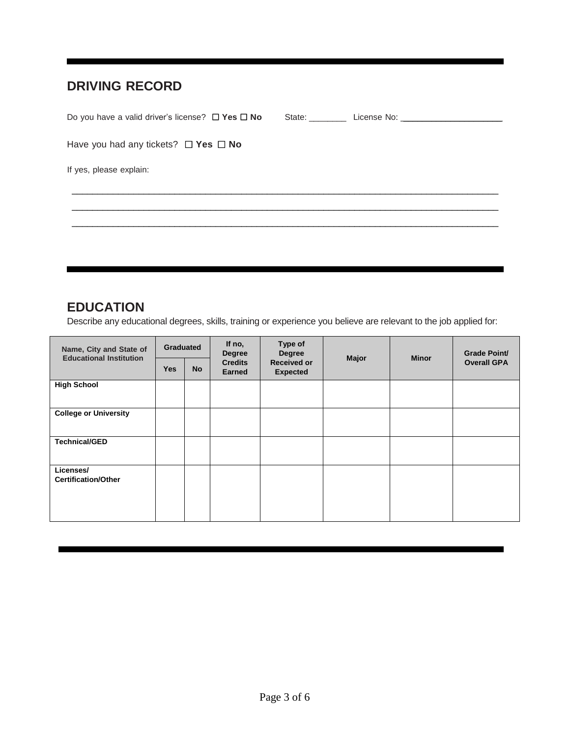### **DRIVING RECORD**

| State: State: | License No: ________________________ |
|---------------|--------------------------------------|
|               |                                      |
|               |                                      |
|               |                                      |
|               |                                      |

### **EDUCATION**

Describe any educational degrees, skills, training or experience you believe are relevant to the job applied for:

| Name, City and State of<br><b>Educational Institution</b> | <b>Graduated</b> |           | If no,<br><b>Degree</b>         |                                       | Type of<br><b>Degree</b> |  | <b>Minor</b>       | <b>Grade Point/</b> |
|-----------------------------------------------------------|------------------|-----------|---------------------------------|---------------------------------------|--------------------------|--|--------------------|---------------------|
|                                                           | <b>Yes</b>       | <b>No</b> | <b>Credits</b><br><b>Earned</b> | <b>Received or</b><br><b>Expected</b> | <b>Major</b>             |  | <b>Overall GPA</b> |                     |
| <b>High School</b>                                        |                  |           |                                 |                                       |                          |  |                    |                     |
| <b>College or University</b>                              |                  |           |                                 |                                       |                          |  |                    |                     |
| <b>Technical/GED</b>                                      |                  |           |                                 |                                       |                          |  |                    |                     |
| Licenses/<br><b>Certification/Other</b>                   |                  |           |                                 |                                       |                          |  |                    |                     |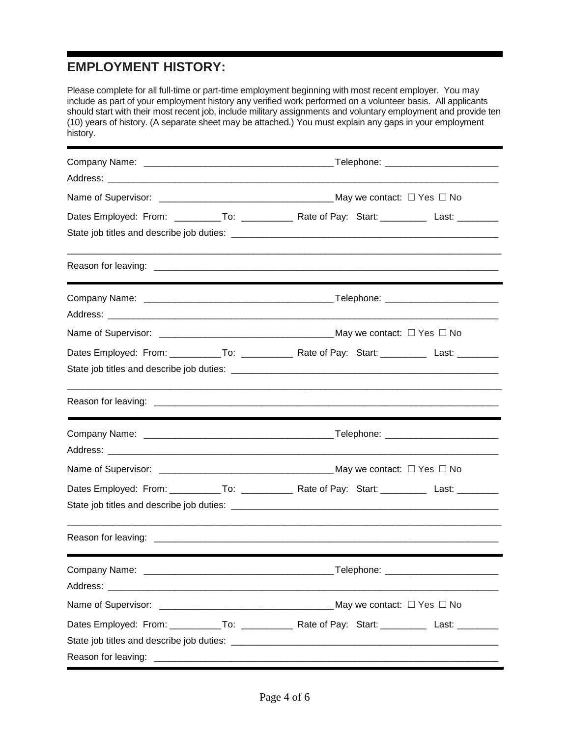## **EMPLOYMENT HISTORY:**

| Please complete for all full-time or part-time employment beginning with most recent employer. You may<br>include as part of your employment history any verified work performed on a volunteer basis. All applicants<br>should start with their most recent job, include military assignments and voluntary employment and provide ten<br>(10) years of history. (A separate sheet may be attached.) You must explain any gaps in your employment<br>history. |                                                                                                    |  |  |  |
|----------------------------------------------------------------------------------------------------------------------------------------------------------------------------------------------------------------------------------------------------------------------------------------------------------------------------------------------------------------------------------------------------------------------------------------------------------------|----------------------------------------------------------------------------------------------------|--|--|--|
|                                                                                                                                                                                                                                                                                                                                                                                                                                                                |                                                                                                    |  |  |  |
|                                                                                                                                                                                                                                                                                                                                                                                                                                                                |                                                                                                    |  |  |  |
|                                                                                                                                                                                                                                                                                                                                                                                                                                                                |                                                                                                    |  |  |  |
|                                                                                                                                                                                                                                                                                                                                                                                                                                                                | Dates Employed: From: __________To: ______________ Rate of Pay: Start: __________ Last: _________  |  |  |  |
|                                                                                                                                                                                                                                                                                                                                                                                                                                                                |                                                                                                    |  |  |  |
|                                                                                                                                                                                                                                                                                                                                                                                                                                                                |                                                                                                    |  |  |  |
|                                                                                                                                                                                                                                                                                                                                                                                                                                                                |                                                                                                    |  |  |  |
|                                                                                                                                                                                                                                                                                                                                                                                                                                                                | Dates Employed: From: ___________To: ______________ Rate of Pay: Start: __________ Last: _________ |  |  |  |
|                                                                                                                                                                                                                                                                                                                                                                                                                                                                |                                                                                                    |  |  |  |
|                                                                                                                                                                                                                                                                                                                                                                                                                                                                |                                                                                                    |  |  |  |
|                                                                                                                                                                                                                                                                                                                                                                                                                                                                |                                                                                                    |  |  |  |
|                                                                                                                                                                                                                                                                                                                                                                                                                                                                | Dates Employed: From: ___________To: ______________ Rate of Pay: Start: __________ Last: _________ |  |  |  |
|                                                                                                                                                                                                                                                                                                                                                                                                                                                                |                                                                                                    |  |  |  |
|                                                                                                                                                                                                                                                                                                                                                                                                                                                                |                                                                                                    |  |  |  |
|                                                                                                                                                                                                                                                                                                                                                                                                                                                                |                                                                                                    |  |  |  |
|                                                                                                                                                                                                                                                                                                                                                                                                                                                                |                                                                                                    |  |  |  |
|                                                                                                                                                                                                                                                                                                                                                                                                                                                                |                                                                                                    |  |  |  |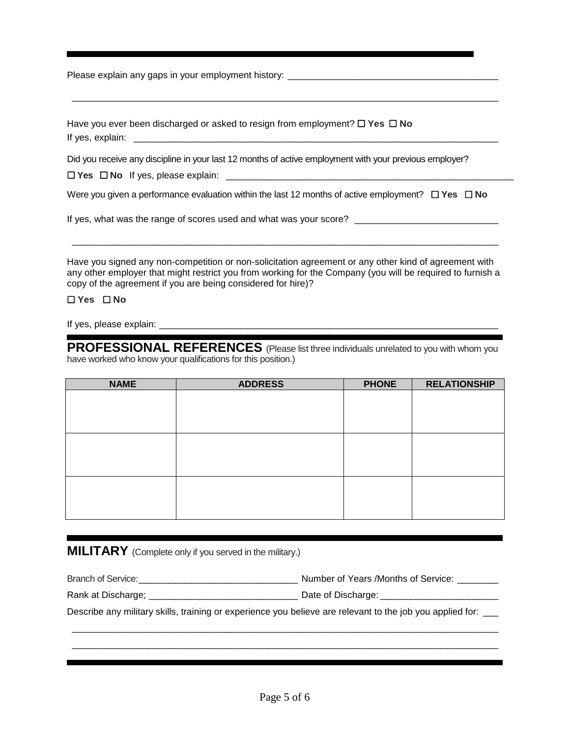Please explain any gaps in your employment history: \_\_\_\_\_\_\_\_\_\_\_\_\_\_\_\_\_\_\_\_\_\_\_\_\_\_\_\_

Have you ever been discharged or asked to resign from employment? ☐ **Yes** ☐ **No** If yes, explain:  $\Box$ 

Did you receive any discipline in your last 12 months of active employment with your previous employer?

□ Yes □ No If yes, please explain: <u>\_\_\_\_\_</u>

Were you given a performance evaluation within the last 12 months of active employment? ☐ **Yes** ☐ **No**

\_\_\_\_\_\_\_\_\_\_\_\_\_\_\_\_\_\_\_\_\_\_\_\_\_\_\_\_\_\_\_\_\_\_\_\_\_\_\_\_\_\_\_\_\_\_\_\_\_\_\_\_\_\_\_\_\_\_\_\_\_\_\_\_\_\_\_\_\_\_\_\_\_\_\_\_\_\_\_\_\_\_\_

If yes, what was the range of scores used and what was your score? \_\_\_\_\_\_\_\_\_\_\_\_\_\_\_\_\_\_\_\_\_\_\_\_\_\_\_\_

Have you signed any non-competition or non-solicitation agreement or any other kind of agreement with any other employer that might restrict you from working for the Company (you will be required to furnish a copy of the agreement if you are being considered for hire)?

\_\_\_\_\_\_\_\_\_\_\_\_\_\_\_\_\_\_\_\_\_\_\_\_\_\_\_\_\_\_\_\_\_\_\_\_\_\_\_\_\_\_\_\_\_\_\_\_\_\_\_\_\_\_\_\_\_\_\_\_\_\_\_\_\_\_\_\_\_\_\_\_\_\_\_\_\_\_\_\_\_\_\_

#### ☐ **Yes** ☐ **No**

If yes, please explain:

**PROFESSIONAL REFERENCES** (Please list three individuals unrelated to you with whom you have worked who know your qualifications for this position.)

| <b>NAME</b> | <b>ADDRESS</b> | <b>PHONE</b> | <b>RELATIONSHIP</b> |
|-------------|----------------|--------------|---------------------|
|             |                |              |                     |
|             |                |              |                     |
|             |                |              |                     |
|             |                |              |                     |
|             |                |              |                     |
|             |                |              |                     |
|             |                |              |                     |
|             |                |              |                     |
|             |                |              |                     |
|             |                |              |                     |
|             |                |              |                     |

#### **MILITARY** (Complete only if you served in the military.)

| Branch of Service:                                                                                        | Number of Years /Months of Service: |  |  |
|-----------------------------------------------------------------------------------------------------------|-------------------------------------|--|--|
| Rank at Discharge;                                                                                        | Date of Discharge:                  |  |  |
| Describe any military skills, training or experience you believe are relevant to the job you applied for: |                                     |  |  |

\_\_\_\_\_\_\_\_\_\_\_\_\_\_\_\_\_\_\_\_\_\_\_\_\_\_\_\_\_\_\_\_\_\_\_\_\_\_\_\_\_\_\_\_\_\_\_\_\_\_\_\_\_\_\_\_\_\_\_\_\_\_\_\_\_\_\_\_\_\_\_\_\_\_\_\_\_\_\_\_\_\_\_ \_\_\_\_\_\_\_\_\_\_\_\_\_\_\_\_\_\_\_\_\_\_\_\_\_\_\_\_\_\_\_\_\_\_\_\_\_\_\_\_\_\_\_\_\_\_\_\_\_\_\_\_\_\_\_\_\_\_\_\_\_\_\_\_\_\_\_\_\_\_\_\_\_\_\_\_\_\_\_\_\_\_\_